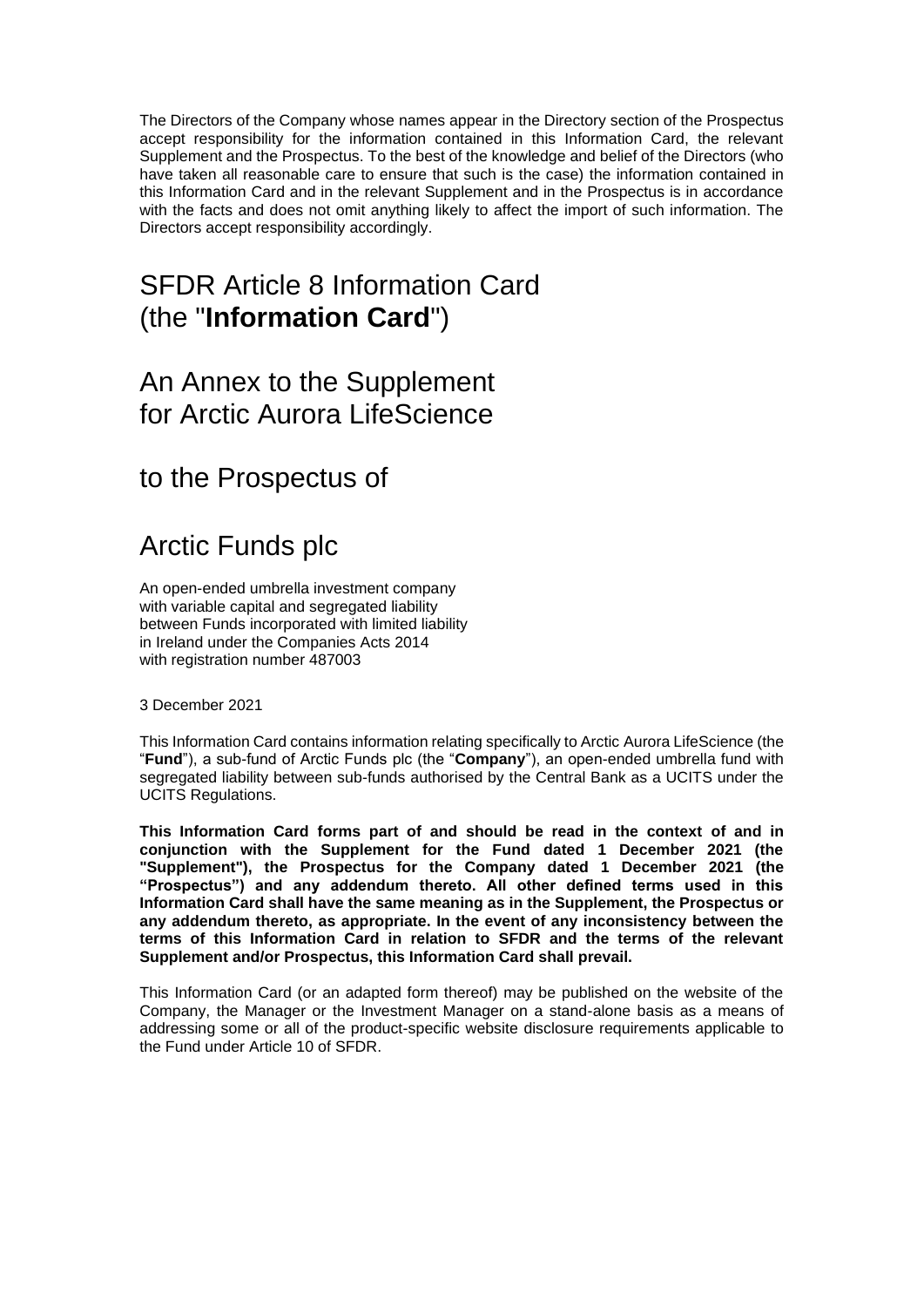The Directors of the Company whose names appear in the Directory section of the Prospectus accept responsibility for the information contained in this Information Card, the relevant Supplement and the Prospectus. To the best of the knowledge and belief of the Directors (who have taken all reasonable care to ensure that such is the case) the information contained in this Information Card and in the relevant Supplement and in the Prospectus is in accordance with the facts and does not omit anything likely to affect the import of such information. The Directors accept responsibility accordingly.

## SFDR Article 8 Information Card (the "**Information Card**")

### An Annex to the Supplement for Arctic Aurora LifeScience

to the Prospectus of

# Arctic Funds plc

An open-ended umbrella investment company with variable capital and segregated liability between Funds incorporated with limited liability in Ireland under the Companies Acts 2014 with registration number 487003

3 December 2021

This Information Card contains information relating specifically to Arctic Aurora LifeScience (the "**Fund**"), a sub-fund of Arctic Funds plc (the "**Company**"), an open-ended umbrella fund with segregated liability between sub-funds authorised by the Central Bank as a UCITS under the UCITS Regulations.

**This Information Card forms part of and should be read in the context of and in conjunction with the Supplement for the Fund dated 1 December 2021 (the "Supplement"), the Prospectus for the Company dated 1 December 2021 (the "Prospectus") and any addendum thereto. All other defined terms used in this Information Card shall have the same meaning as in the Supplement, the Prospectus or any addendum thereto, as appropriate. In the event of any inconsistency between the terms of this Information Card in relation to SFDR and the terms of the relevant Supplement and/or Prospectus, this Information Card shall prevail.**

This Information Card (or an adapted form thereof) may be published on the website of the Company, the Manager or the Investment Manager on a stand-alone basis as a means of addressing some or all of the product-specific website disclosure requirements applicable to the Fund under Article 10 of SFDR.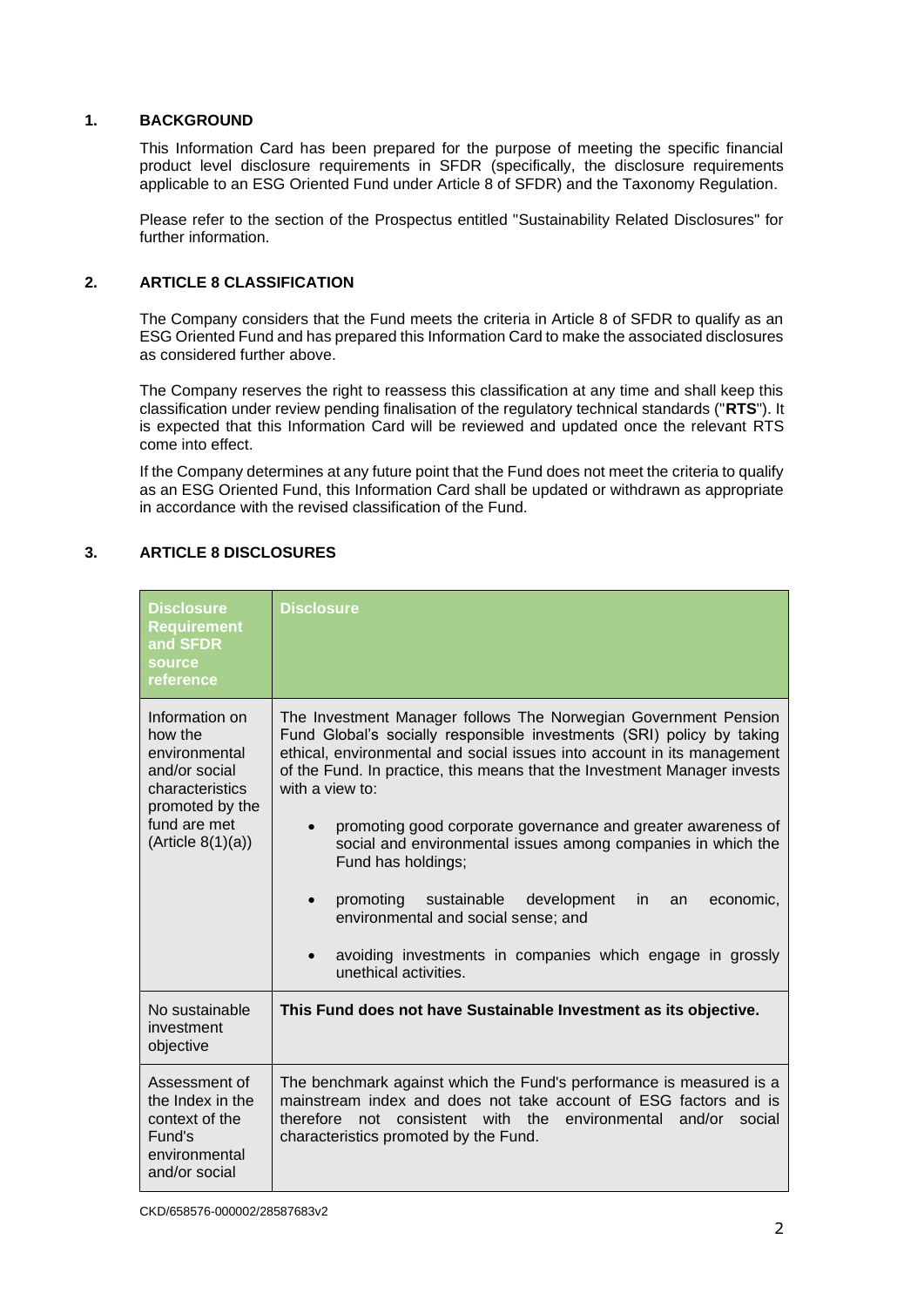#### **1. BACKGROUND**

This Information Card has been prepared for the purpose of meeting the specific financial product level disclosure requirements in SFDR (specifically, the disclosure requirements applicable to an ESG Oriented Fund under Article 8 of SFDR) and the Taxonomy Regulation.

Please refer to the section of the Prospectus entitled "Sustainability Related Disclosures" for further information.

#### **2. ARTICLE 8 CLASSIFICATION**

The Company considers that the Fund meets the criteria in Article 8 of SFDR to qualify as an ESG Oriented Fund and has prepared this Information Card to make the associated disclosures as considered further above.

The Company reserves the right to reassess this classification at any time and shall keep this classification under review pending finalisation of the regulatory technical standards ("**RTS**"). It is expected that this Information Card will be reviewed and updated once the relevant RTS come into effect.

If the Company determines at any future point that the Fund does not meet the criteria to qualify as an ESG Oriented Fund, this Information Card shall be updated or withdrawn as appropriate in accordance with the revised classification of the Fund.

#### **3. ARTICLE 8 DISCLOSURES**

| <b>Disclosure</b><br><b>Requirement</b><br>and SFDR<br>source<br>reference                                                              | Disclosure                                                                                                                                                                                                                                                                                                                                                                                                                                                                                                                                                                                                                                                              |
|-----------------------------------------------------------------------------------------------------------------------------------------|-------------------------------------------------------------------------------------------------------------------------------------------------------------------------------------------------------------------------------------------------------------------------------------------------------------------------------------------------------------------------------------------------------------------------------------------------------------------------------------------------------------------------------------------------------------------------------------------------------------------------------------------------------------------------|
| Information on<br>how the<br>environmental<br>and/or social<br>characteristics<br>promoted by the<br>fund are met<br>(Ariticle 8(1)(a)) | The Investment Manager follows The Norwegian Government Pension<br>Fund Global's socially responsible investments (SRI) policy by taking<br>ethical, environmental and social issues into account in its management<br>of the Fund. In practice, this means that the Investment Manager invests<br>with a view to:<br>promoting good corporate governance and greater awareness of<br>social and environmental issues among companies in which the<br>Fund has holdings;<br>promoting<br>sustainable development<br>in.<br>an<br>economic,<br>environmental and social sense; and<br>avoiding investments in companies which engage in grossly<br>unethical activities. |
| No sustainable<br>investment<br>objective                                                                                               | This Fund does not have Sustainable Investment as its objective.                                                                                                                                                                                                                                                                                                                                                                                                                                                                                                                                                                                                        |
| Assessment of<br>the Index in the<br>context of the<br>Fund's<br>environmental<br>and/or social                                         | The benchmark against which the Fund's performance is measured is a<br>mainstream index and does not take account of ESG factors and is<br>consistent with the environmental<br>therefore<br>not<br>and/or<br>social<br>characteristics promoted by the Fund.                                                                                                                                                                                                                                                                                                                                                                                                           |

CKD/658576-000002/28587683v2